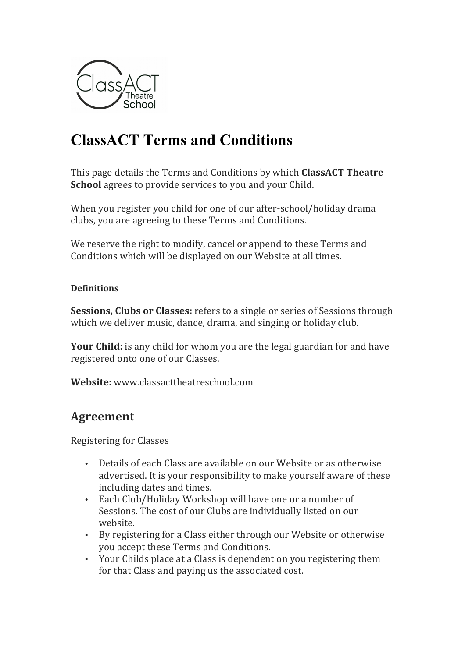

# **ClassACT Terms and Conditions**

This page details the Terms and Conditions by which **ClassACT Theatre School** agrees to provide services to you and your Child.

When you register you child for one of our after-school/holiday drama clubs, you are agreeing to these Terms and Conditions.

We reserve the right to modify, cancel or append to these Terms and Conditions which will be displayed on our Website at all times.

#### **Definitions**

**Sessions, Clubs or Classes:** refers to a single or series of Sessions through which we deliver music, dance, drama, and singing or holiday club.

**Your Child:** is any child for whom you are the legal guardian for and have registered onto one of our Classes.

**Website:** www.classacttheatreschool.com

# **Agreement**

Registering for Classes

- Details of each Class are available on our Website or as otherwise advertised. It is your responsibility to make yourself aware of these including dates and times.
- Each Club/Holiday Workshop will have one or a number of Sessions. The cost of our Clubs are individually listed on our website.
- By registering for a Class either through our Website or otherwise you accept these Terms and Conditions.
- Your Childs place at a Class is dependent on you registering them for that Class and paying us the associated cost.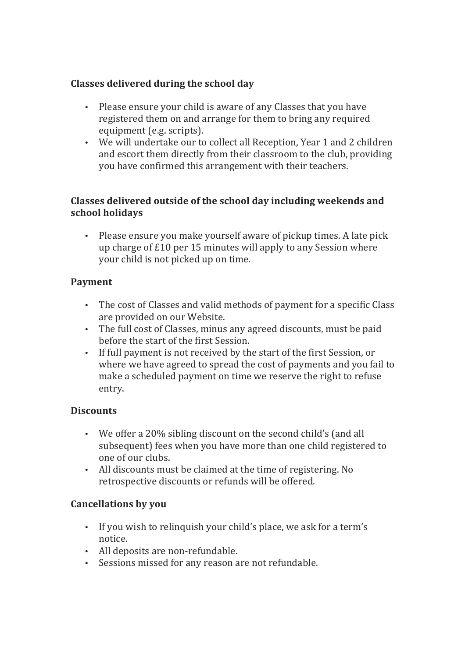# **Classes delivered during the school day**

- Please ensure your child is aware of any Classes that you have registered them on and arrange for them to bring any required equipment (e.g. scripts).
- We will undertake our to collect all Reception, Year 1 and 2 children and escort them directly from their classroom to the club, providing you have confirmed this arrangement with their teachers.

## **Classes delivered outside of the school day including weekends and school holidays**

• Please ensure you make yourself aware of pickup times. A late pick up charge of  $£10$  per 15 minutes will apply to any Session where your child is not picked up on time.

# **Payment**

- The cost of Classes and valid methods of payment for a specific Class are provided on our Website.
- The full cost of Classes, minus any agreed discounts, must be paid before the start of the first Session.
- If full payment is not received by the start of the first Session, or where we have agreed to spread the cost of payments and you fail to make a scheduled payment on time we reserve the right to refuse entry.

# **Discounts**

- We offer a 20% sibling discount on the second child's (and all subsequent) fees when you have more than one child registered to one of our clubs.
- All discounts must be claimed at the time of registering. No retrospective discounts or refunds will be offered.

# **Cancellations by you**

- If you wish to relinquish your child's place, we ask for a term's notice.
- All deposits are non-refundable.
- Sessions missed for any reason are not refundable.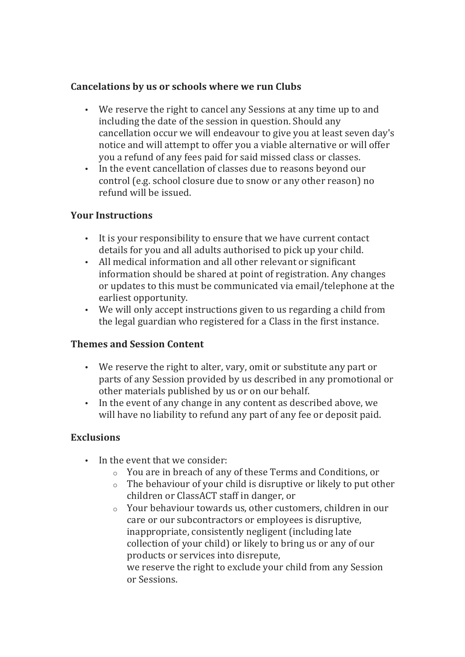#### Cancelations by us or schools where we run Clubs

- We reserve the right to cancel any Sessions at any time up to and including the date of the session in question. Should any cancellation occur we will endeavour to give you at least seven day's notice and will attempt to offer you a viable alternative or will offer you a refund of any fees paid for said missed class or classes.
- In the event cancellation of classes due to reasons beyond our control (e.g. school closure due to snow or any other reason) no refund will be issued.

#### **Your Instructions**

- It is your responsibility to ensure that we have current contact details for you and all adults authorised to pick up your child.
- All medical information and all other relevant or significant information should be shared at point of registration. Any changes or updates to this must be communicated via email/telephone at the earliest opportunity.
- We will only accept instructions given to us regarding a child from the legal guardian who registered for a Class in the first instance.

#### **Themes and Session Content**

- We reserve the right to alter, vary, omit or substitute any part or parts of any Session provided by us described in any promotional or other materials published by us or on our behalf.
- In the event of any change in any content as described above, we will have no liability to refund any part of any fee or deposit paid.

#### **Exclusions**

- In the event that we consider:
	- $\circ$  You are in breach of any of these Terms and Conditions, or
	- $\circ$  The behaviour of your child is disruptive or likely to put other children or ClassACT staff in danger, or
	- $\circ$  Your behaviour towards us, other customers, children in our care or our subcontractors or employees is disruptive, inappropriate, consistently negligent (including late collection of your child) or likely to bring us or any of our products or services into disrepute, we reserve the right to exclude your child from any Session or Sessions.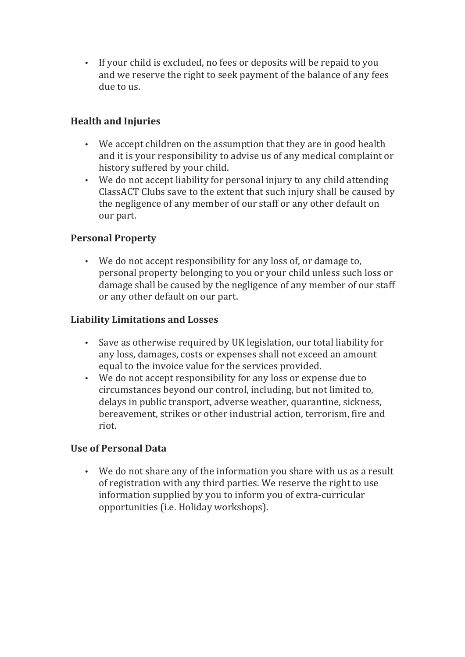• If your child is excluded, no fees or deposits will be repaid to you and we reserve the right to seek payment of the balance of any fees due to us.

# **Health and Injuries**

- We accept children on the assumption that they are in good health and it is your responsibility to advise us of any medical complaint or history suffered by your child.
- We do not accept liability for personal injury to any child attending ClassACT Clubs save to the extent that such injury shall be caused by the negligence of any member of our staff or any other default on our part.

# **Personal Property**

• We do not accept responsibility for any loss of, or damage to, personal property belonging to you or your child unless such loss or damage shall be caused by the negligence of any member of our staff or any other default on our part.

# **Liability Limitations and Losses**

- Save as otherwise required by UK legislation, our total liability for any loss, damages, costs or expenses shall not exceed an amount equal to the invoice value for the services provided.
- We do not accept responsibility for any loss or expense due to circumstances beyond our control, including, but not limited to, delays in public transport, adverse weather, quarantine, sickness, bereavement, strikes or other industrial action, terrorism, fire and riot.

#### **Use of Personal Data**

• We do not share any of the information you share with us as a result of registration with any third parties. We reserve the right to use information supplied by you to inform you of extra-curricular opportunities (i.e. Holiday workshops).